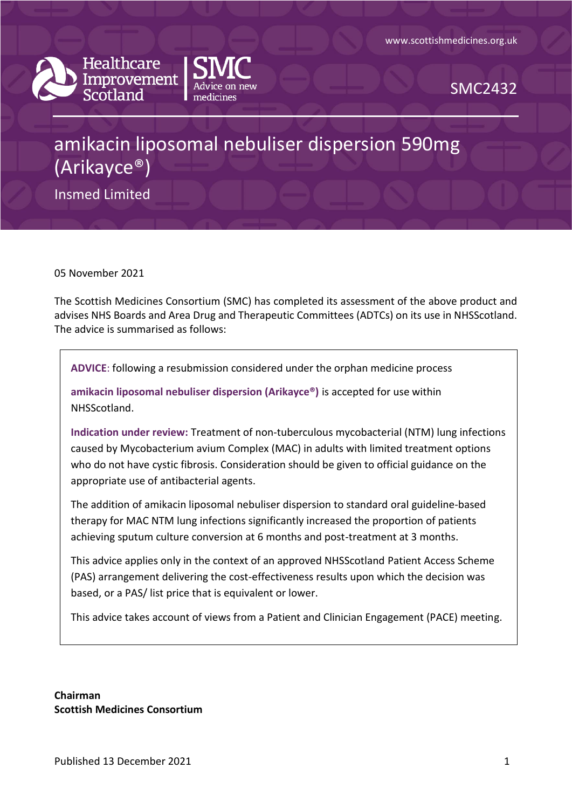



SMC2432

# amikacin liposomal nebuliser dispersion 590mg (Arikayce®)

Insmed Limited

05 November 2021

The Scottish Medicines Consortium (SMC) has completed its assessment of the above product and advises NHS Boards and Area Drug and Therapeutic Committees (ADTCs) on its use in NHSScotland. The advice is summarised as follows:

**ADVICE**: following a resubmission considered under the orphan medicine process

**amikacin liposomal nebuliser dispersion (Arikayce®)** is accepted for use within NHSScotland.

**Indication under review:** Treatment of non-tuberculous mycobacterial (NTM) lung infections caused by Mycobacterium avium Complex (MAC) in adults with limited treatment options who do not have cystic fibrosis. Consideration should be given to official guidance on the appropriate use of antibacterial agents.

The addition of amikacin liposomal nebuliser dispersion to standard oral guideline-based therapy for MAC NTM lung infections significantly increased the proportion of patients achieving sputum culture conversion at 6 months and post-treatment at 3 months.

This advice applies only in the context of an approved NHSScotland Patient Access Scheme (PAS) arrangement delivering the cost-effectiveness results upon which the decision was based, or a PAS/ list price that is equivalent or lower.

This advice takes account of views from a Patient and Clinician Engagement (PACE) meeting.

**Chairman Scottish Medicines Consortium**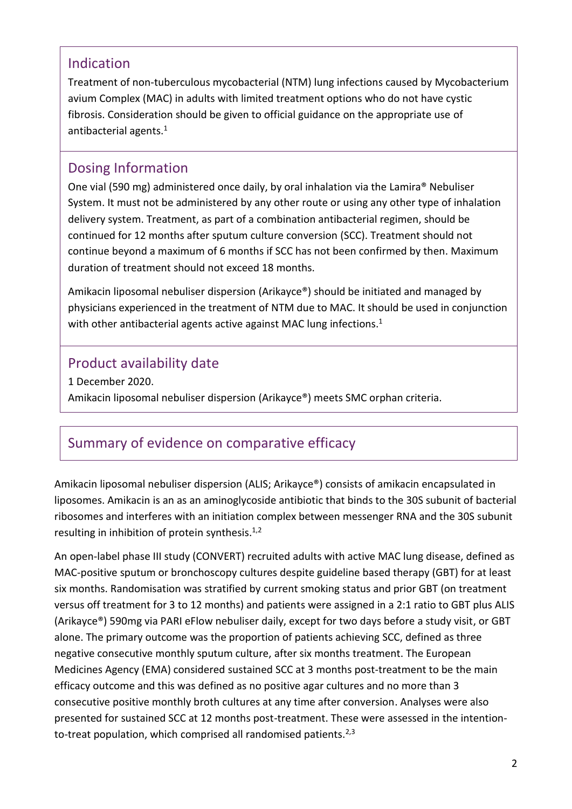### Indication

Treatment of non-tuberculous mycobacterial (NTM) lung infections caused by Mycobacterium avium Complex (MAC) in adults with limited treatment options who do not have cystic fibrosis. Consideration should be given to official guidance on the appropriate use of antibacterial agents.<sup>1</sup>

### Dosing Information

One vial (590 mg) administered once daily, by oral inhalation via the Lamira® Nebuliser System. It must not be administered by any other route or using any other type of inhalation delivery system. Treatment, as part of a combination antibacterial regimen, should be continued for 12 months after sputum culture conversion (SCC). Treatment should not continue beyond a maximum of 6 months if SCC has not been confirmed by then. Maximum duration of treatment should not exceed 18 months.

Amikacin liposomal nebuliser dispersion (Arikayce®) should be initiated and managed by physicians experienced in the treatment of NTM due to MAC. It should be used in conjunction with other antibacterial agents active against MAC lung infections.<sup>1</sup>

### Product availability date

1 December 2020. Amikacin liposomal nebuliser dispersion (Arikayce®) meets SMC orphan criteria.

## Summary of evidence on comparative efficacy

Amikacin liposomal nebuliser dispersion (ALIS; Arikayce®) consists of amikacin encapsulated in liposomes. Amikacin is an as an aminoglycoside antibiotic that binds to the 30S subunit of bacterial ribosomes and interferes with an initiation complex between messenger RNA and the 30S subunit resulting in inhibition of protein synthesis. $1,2$ 

An open-label phase III study (CONVERT) recruited adults with active MAC lung disease, defined as MAC-positive sputum or bronchoscopy cultures despite guideline based therapy (GBT) for at least six months. Randomisation was stratified by current smoking status and prior GBT (on treatment versus off treatment for 3 to 12 months) and patients were assigned in a 2:1 ratio to GBT plus ALIS (Arikayce®) 590mg via PARI eFlow nebuliser daily, except for two days before a study visit, or GBT alone. The primary outcome was the proportion of patients achieving SCC, defined as three negative consecutive monthly sputum culture, after six months treatment. The European Medicines Agency (EMA) considered sustained SCC at 3 months post-treatment to be the main efficacy outcome and this was defined as no positive agar cultures and no more than 3 consecutive positive monthly broth cultures at any time after conversion. Analyses were also presented for sustained SCC at 12 months post-treatment. These were assessed in the intentionto-treat population, which comprised all randomised patients.<sup>2,3</sup>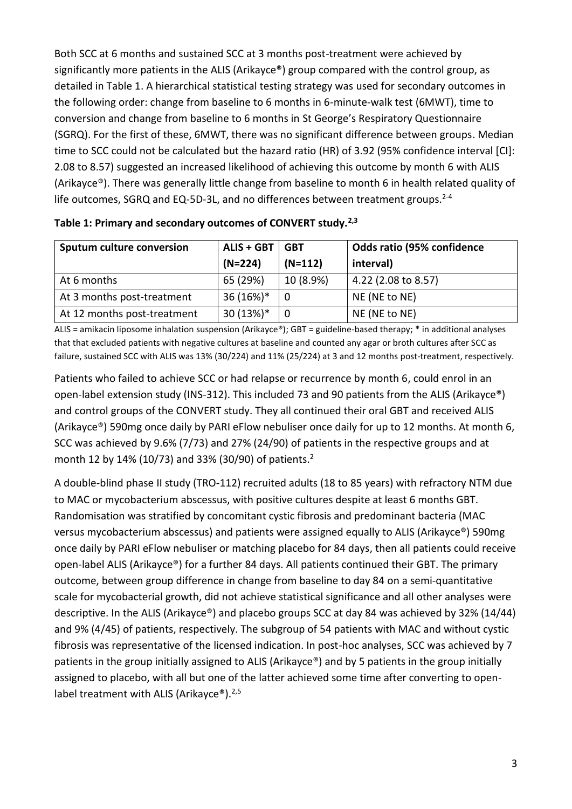Both SCC at 6 months and sustained SCC at 3 months post-treatment were achieved by significantly more patients in the ALIS (Arikayce®) group compared with the control group, as detailed in Table 1. A hierarchical statistical testing strategy was used for secondary outcomes in the following order: change from baseline to 6 months in 6-minute-walk test (6MWT), time to conversion and change from baseline to 6 months in St George's Respiratory Questionnaire (SGRQ). For the first of these, 6MWT, there was no significant difference between groups. Median time to SCC could not be calculated but the hazard ratio (HR) of 3.92 (95% confidence interval [CI]: 2.08 to 8.57) suggested an increased likelihood of achieving this outcome by month 6 with ALIS (Arikayce®). There was generally little change from baseline to month 6 in health related quality of life outcomes, SGRQ and EQ-5D-3L, and no differences between treatment groups.<sup>2-4</sup>

| <b>Sputum culture conversion</b> | <b>ALIS + GBT</b> | Odds ratio (95% confidence<br><b>GBT</b> |                     |
|----------------------------------|-------------------|------------------------------------------|---------------------|
|                                  | $(N=224)$         | $(N=112)$                                | interval)           |
| At 6 months                      | 65 (29%)          | 10 (8.9%)                                | 4.22 (2.08 to 8.57) |
| At 3 months post-treatment       | 36 (16%)*         | 0                                        | NE (NE to NE)       |
| At 12 months post-treatment      | 30 (13%)*         | 0                                        | NE (NE to NE)       |

|  |  | Table 1: Primary and secondary outcomes of CONVERT study. <sup>2,3</sup> |
|--|--|--------------------------------------------------------------------------|
|--|--|--------------------------------------------------------------------------|

ALIS = amikacin liposome inhalation suspension (Arikayce®); GBT = guideline-based therapy; \* in additional analyses that that excluded patients with negative cultures at baseline and counted any agar or broth cultures after SCC as failure, sustained SCC with ALIS was 13% (30/224) and 11% (25/224) at 3 and 12 months post-treatment, respectively.

Patients who failed to achieve SCC or had relapse or recurrence by month 6, could enrol in an open-label extension study (INS-312). This included 73 and 90 patients from the ALIS (Arikayce®) and control groups of the CONVERT study. They all continued their oral GBT and received ALIS (Arikayce®) 590mg once daily by PARI eFlow nebuliser once daily for up to 12 months. At month 6, SCC was achieved by 9.6% (7/73) and 27% (24/90) of patients in the respective groups and at month 12 by 14% (10/73) and 33% (30/90) of patients. 2

A double-blind phase II study (TRO-112) recruited adults (18 to 85 years) with refractory NTM due to MAC or mycobacterium abscessus, with positive cultures despite at least 6 months GBT. Randomisation was stratified by concomitant cystic fibrosis and predominant bacteria (MAC versus mycobacterium abscessus) and patients were assigned equally to ALIS (Arikayce®) 590mg once daily by PARI eFlow nebuliser or matching placebo for 84 days, then all patients could receive open-label ALIS (Arikayce®) for a further 84 days. All patients continued their GBT. The primary outcome, between group difference in change from baseline to day 84 on a semi-quantitative scale for mycobacterial growth, did not achieve statistical significance and all other analyses were descriptive. In the ALIS (Arikayce®) and placebo groups SCC at day 84 was achieved by 32% (14/44) and 9% (4/45) of patients, respectively. The subgroup of 54 patients with MAC and without cystic fibrosis was representative of the licensed indication. In post-hoc analyses, SCC was achieved by 7 patients in the group initially assigned to ALIS (Arikayce®) and by 5 patients in the group initially assigned to placebo, with all but one of the latter achieved some time after converting to openlabel treatment with ALIS (Arikayce®).<sup>2,5</sup>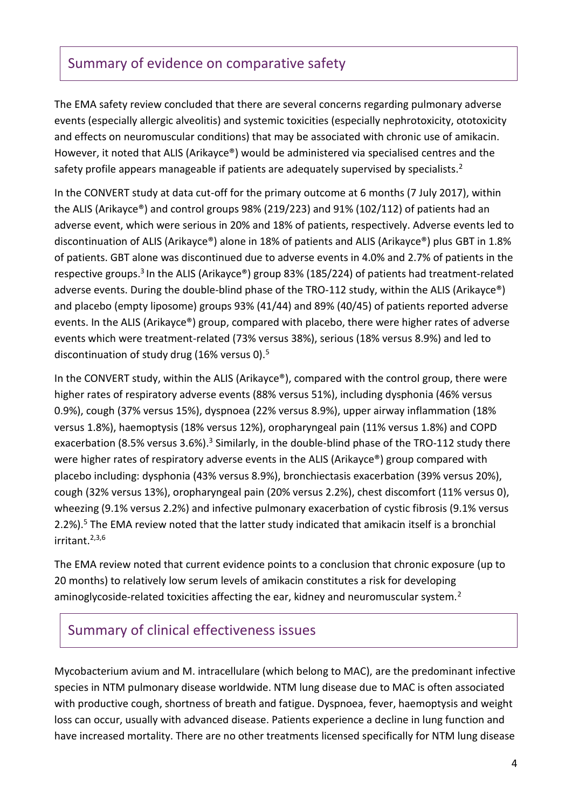### Summary of evidence on comparative safety

The EMA safety review concluded that there are several concerns regarding pulmonary adverse events (especially allergic alveolitis) and systemic toxicities (especially nephrotoxicity, ototoxicity and effects on neuromuscular conditions) that may be associated with chronic use of amikacin. However, it noted that ALIS (Arikayce®) would be administered via specialised centres and the safety profile appears manageable if patients are adequately supervised by specialists.<sup>2</sup>

In the CONVERT study at data cut-off for the primary outcome at 6 months (7 July 2017), within the ALIS (Arikayce®) and control groups 98% (219/223) and 91% (102/112) of patients had an adverse event, which were serious in 20% and 18% of patients, respectively. Adverse events led to discontinuation of ALIS (Arikayce®) alone in 18% of patients and ALIS (Arikayce®) plus GBT in 1.8% of patients. GBT alone was discontinued due to adverse events in 4.0% and 2.7% of patients in the respective groups.<sup>3</sup> In the ALIS (Arikayce®) group 83% (185/224) of patients had treatment-related adverse events. During the double-blind phase of the TRO-112 study, within the ALIS (Arikayce®) and placebo (empty liposome) groups 93% (41/44) and 89% (40/45) of patients reported adverse events. In the ALIS (Arikayce®) group, compared with placebo, there were higher rates of adverse events which were treatment-related (73% versus 38%), serious (18% versus 8.9%) and led to discontinuation of study drug (16% versus 0).<sup>5</sup>

In the CONVERT study, within the ALIS (Arikayce®), compared with the control group, there were higher rates of respiratory adverse events (88% versus 51%), including dysphonia (46% versus 0.9%), cough (37% versus 15%), dyspnoea (22% versus 8.9%), upper airway inflammation (18% versus 1.8%), haemoptysis (18% versus 12%), oropharyngeal pain (11% versus 1.8%) and COPD exacerbation (8.5% versus 3.6%).<sup>3</sup> Similarly, in the double-blind phase of the TRO-112 study there were higher rates of respiratory adverse events in the ALIS (Arikayce®) group compared with placebo including: dysphonia (43% versus 8.9%), bronchiectasis exacerbation (39% versus 20%), cough (32% versus 13%), oropharyngeal pain (20% versus 2.2%), chest discomfort (11% versus 0), wheezing (9.1% versus 2.2%) and infective pulmonary exacerbation of cystic fibrosis (9.1% versus 2.2%).<sup>5</sup> The EMA review noted that the latter study indicated that amikacin itself is a bronchial irritant.2,3,6

The EMA review noted that current evidence points to a conclusion that chronic exposure (up to 20 months) to relatively low serum levels of amikacin constitutes a risk for developing aminoglycoside-related toxicities affecting the ear, kidney and neuromuscular system.<sup>2</sup>

### Summary of clinical effectiveness issues

Mycobacterium avium and M. intracellulare (which belong to MAC), are the predominant infective species in NTM pulmonary disease worldwide. NTM lung disease due to MAC is often associated with productive cough, shortness of breath and fatigue. Dyspnoea, fever, haemoptysis and weight loss can occur, usually with advanced disease. Patients experience a decline in lung function and have increased mortality. There are no other treatments licensed specifically for NTM lung disease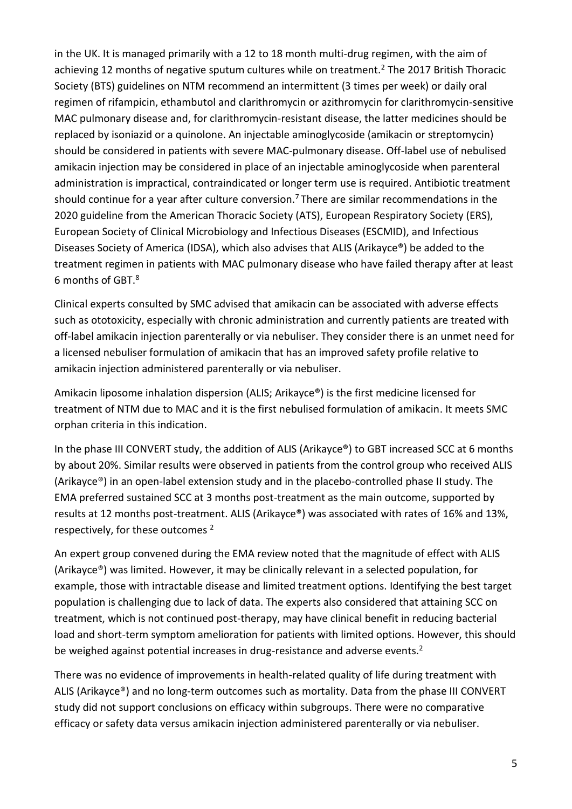in the UK. It is managed primarily with a 12 to 18 month multi-drug regimen, with the aim of achieving 12 months of negative sputum cultures while on treatment.<sup>2</sup> The 2017 British Thoracic Society (BTS) guidelines on NTM recommend an intermittent (3 times per week) or daily oral regimen of rifampicin, ethambutol and clarithromycin or azithromycin for clarithromycin-sensitive MAC pulmonary disease and, for clarithromycin-resistant disease, the latter medicines should be replaced by isoniazid or a quinolone. An injectable aminoglycoside (amikacin or streptomycin) should be considered in patients with severe MAC-pulmonary disease. Off-label use of nebulised amikacin injection may be considered in place of an injectable aminoglycoside when parenteral administration is impractical, contraindicated or longer term use is required. Antibiotic treatment should continue for a year after culture conversion.<sup>7</sup> There are similar recommendations in the 2020 guideline from the American Thoracic Society (ATS), European Respiratory Society (ERS), European Society of Clinical Microbiology and Infectious Diseases (ESCMID), and Infectious Diseases Society of America (IDSA), which also advises that ALIS (Arikayce®) be added to the treatment regimen in patients with MAC pulmonary disease who have failed therapy after at least 6 months of GBT.<sup>8</sup>

Clinical experts consulted by SMC advised that amikacin can be associated with adverse effects such as ototoxicity, especially with chronic administration and currently patients are treated with off-label amikacin injection parenterally or via nebuliser. They consider there is an unmet need for a licensed nebuliser formulation of amikacin that has an improved safety profile relative to amikacin injection administered parenterally or via nebuliser.

Amikacin liposome inhalation dispersion (ALIS; Arikayce®) is the first medicine licensed for treatment of NTM due to MAC and it is the first nebulised formulation of amikacin. It meets SMC orphan criteria in this indication.

In the phase III CONVERT study, the addition of ALIS (Arikayce®) to GBT increased SCC at 6 months by about 20%. Similar results were observed in patients from the control group who received ALIS (Arikayce®) in an open-label extension study and in the placebo-controlled phase II study. The EMA preferred sustained SCC at 3 months post-treatment as the main outcome, supported by results at 12 months post-treatment. ALIS (Arikayce®) was associated with rates of 16% and 13%, respectively, for these outcomes <sup>2</sup>

An expert group convened during the EMA review noted that the magnitude of effect with ALIS (Arikayce®) was limited. However, it may be clinically relevant in a selected population, for example, those with intractable disease and limited treatment options. Identifying the best target population is challenging due to lack of data. The experts also considered that attaining SCC on treatment, which is not continued post-therapy, may have clinical benefit in reducing bacterial load and short-term symptom amelioration for patients with limited options. However, this should be weighed against potential increases in drug-resistance and adverse events.<sup>2</sup>

There was no evidence of improvements in health-related quality of life during treatment with ALIS (Arikayce®) and no long-term outcomes such as mortality. Data from the phase III CONVERT study did not support conclusions on efficacy within subgroups. There were no comparative efficacy or safety data versus amikacin injection administered parenterally or via nebuliser.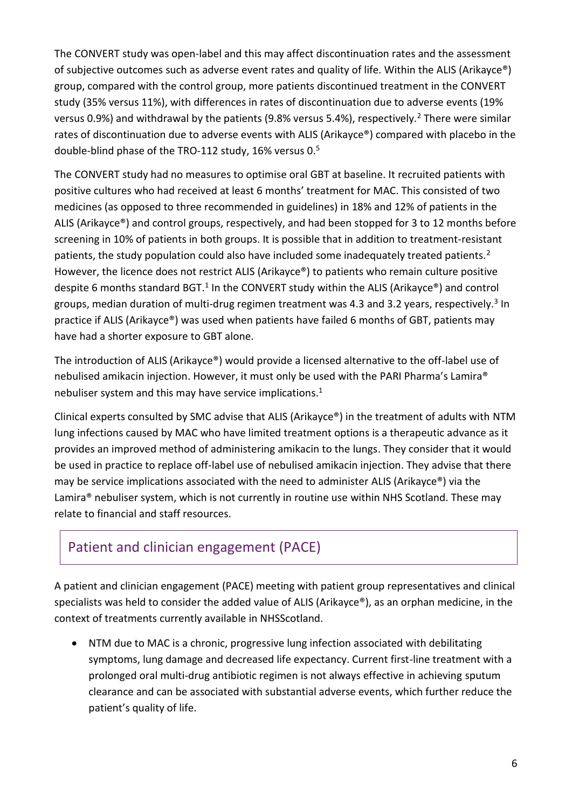The CONVERT study was open-label and this may affect discontinuation rates and the assessment of subjective outcomes such as adverse event rates and quality of life. Within the ALIS (Arikayce®) group, compared with the control group, more patients discontinued treatment in the CONVERT study (35% versus 11%), with differences in rates of discontinuation due to adverse events (19% versus 0.9%) and withdrawal by the patients (9.8% versus 5.4%), respectively.<sup>2</sup> There were similar rates of discontinuation due to adverse events with ALIS (Arikayce®) compared with placebo in the double-blind phase of the TRO-112 study, 16% versus 0.<sup>5</sup>

The CONVERT study had no measures to optimise oral GBT at baseline. It recruited patients with positive cultures who had received at least 6 months' treatment for MAC. This consisted of two medicines (as opposed to three recommended in guidelines) in 18% and 12% of patients in the ALIS (Arikayce®) and control groups, respectively, and had been stopped for 3 to 12 months before screening in 10% of patients in both groups. It is possible that in addition to treatment-resistant patients, the study population could also have included some inadequately treated patients.<sup>2</sup> However, the licence does not restrict ALIS (Arikayce®) to patients who remain culture positive despite 6 months standard BGT.<sup>1</sup> In the CONVERT study within the ALIS (Arikayce®) and control groups, median duration of multi-drug regimen treatment was 4.3 and 3.2 years, respectively.<sup>3</sup> In practice if ALIS (Arikayce®) was used when patients have failed 6 months of GBT, patients may have had a shorter exposure to GBT alone.

The introduction of ALIS (Arikayce®) would provide a licensed alternative to the off-label use of nebulised amikacin injection. However, it must only be used with the PARI Pharma's Lamira® nebuliser system and this may have service implications. 1

Clinical experts consulted by SMC advise that ALIS (Arikayce®) in the treatment of adults with NTM lung infections caused by MAC who have limited treatment options is a therapeutic advance as it provides an improved method of administering amikacin to the lungs. They consider that it would be used in practice to replace off-label use of nebulised amikacin injection. They advise that there may be service implications associated with the need to administer ALIS (Arikayce®) via the Lamira® nebuliser system, which is not currently in routine use within NHS Scotland. These may relate to financial and staff resources.

### Patient and clinician engagement (PACE)

A patient and clinician engagement (PACE) meeting with patient group representatives and clinical specialists was held to consider the added value of ALIS (Arikayce®), as an orphan medicine, in the context of treatments currently available in NHSScotland.

 NTM due to MAC is a chronic, progressive lung infection associated with debilitating symptoms, lung damage and decreased life expectancy. Current first-line treatment with a prolonged oral multi-drug antibiotic regimen is not always effective in achieving sputum clearance and can be associated with substantial adverse events, which further reduce the patient's quality of life.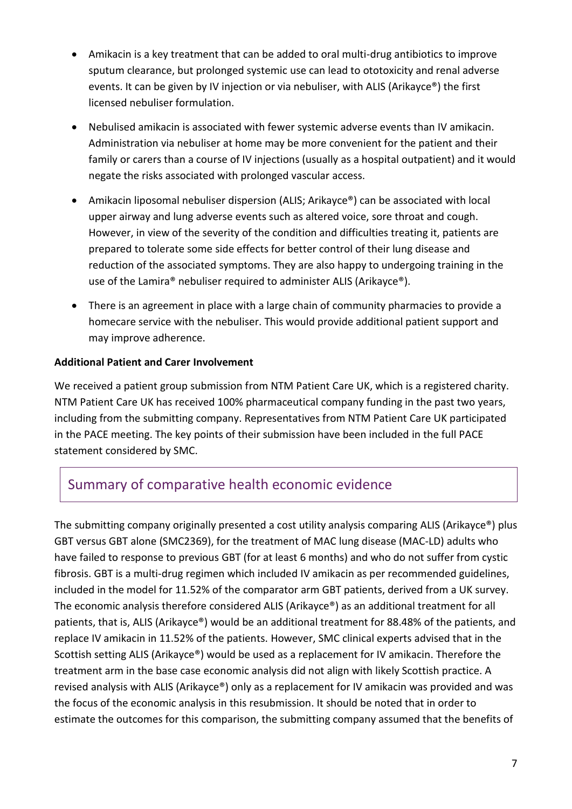- Amikacin is a key treatment that can be added to oral multi-drug antibiotics to improve sputum clearance, but prolonged systemic use can lead to ototoxicity and renal adverse events. It can be given by IV injection or via nebuliser, with ALIS (Arikayce®) the first licensed nebuliser formulation.
- Nebulised amikacin is associated with fewer systemic adverse events than IV amikacin. Administration via nebuliser at home may be more convenient for the patient and their family or carers than a course of IV injections (usually as a hospital outpatient) and it would negate the risks associated with prolonged vascular access.
- Amikacin liposomal nebuliser dispersion (ALIS; Arikayce®) can be associated with local upper airway and lung adverse events such as altered voice, sore throat and cough. However, in view of the severity of the condition and difficulties treating it, patients are prepared to tolerate some side effects for better control of their lung disease and reduction of the associated symptoms. They are also happy to undergoing training in the use of the Lamira® nebuliser required to administer ALIS (Arikayce®).
- There is an agreement in place with a large chain of community pharmacies to provide a homecare service with the nebuliser. This would provide additional patient support and may improve adherence.

#### **Additional Patient and Carer Involvement**

We received a patient group submission from NTM Patient Care UK, which is a registered charity. NTM Patient Care UK has received 100% pharmaceutical company funding in the past two years, including from the submitting company. Representatives from NTM Patient Care UK participated in the PACE meeting. The key points of their submission have been included in the full PACE statement considered by SMC.

### Summary of comparative health economic evidence

The submitting company originally presented a cost utility analysis comparing ALIS (Arikayce®) plus GBT versus GBT alone (SMC2369), for the treatment of MAC lung disease (MAC-LD) adults who have failed to response to previous GBT (for at least 6 months) and who do not suffer from cystic fibrosis. GBT is a multi-drug regimen which included IV amikacin as per recommended guidelines, included in the model for 11.52% of the comparator arm GBT patients, derived from a UK survey. The economic analysis therefore considered ALIS (Arikayce®) as an additional treatment for all patients, that is, ALIS (Arikayce®) would be an additional treatment for 88.48% of the patients, and replace IV amikacin in 11.52% of the patients. However, SMC clinical experts advised that in the Scottish setting ALIS (Arikayce®) would be used as a replacement for IV amikacin. Therefore the treatment arm in the base case economic analysis did not align with likely Scottish practice. A revised analysis with ALIS (Arikayce®) only as a replacement for IV amikacin was provided and was the focus of the economic analysis in this resubmission. It should be noted that in order to estimate the outcomes for this comparison, the submitting company assumed that the benefits of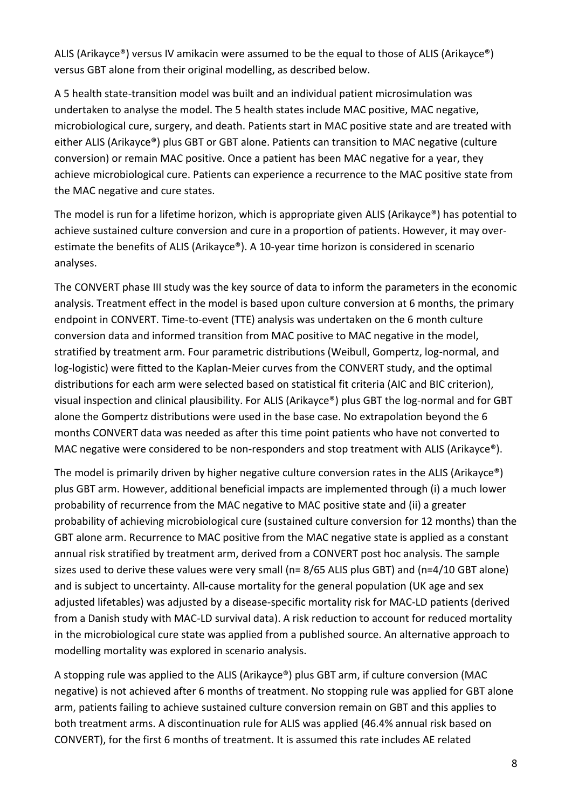ALIS (Arikayce®) versus IV amikacin were assumed to be the equal to those of ALIS (Arikayce®) versus GBT alone from their original modelling, as described below.

A 5 health state-transition model was built and an individual patient microsimulation was undertaken to analyse the model. The 5 health states include MAC positive, MAC negative, microbiological cure, surgery, and death. Patients start in MAC positive state and are treated with either ALIS (Arikayce®) plus GBT or GBT alone. Patients can transition to MAC negative (culture conversion) or remain MAC positive. Once a patient has been MAC negative for a year, they achieve microbiological cure. Patients can experience a recurrence to the MAC positive state from the MAC negative and cure states.

The model is run for a lifetime horizon, which is appropriate given ALIS (Arikayce®) has potential to achieve sustained culture conversion and cure in a proportion of patients. However, it may overestimate the benefits of ALIS (Arikayce®). A 10-year time horizon is considered in scenario analyses.

The CONVERT phase III study was the key source of data to inform the parameters in the economic analysis. Treatment effect in the model is based upon culture conversion at 6 months, the primary endpoint in CONVERT. Time-to-event (TTE) analysis was undertaken on the 6 month culture conversion data and informed transition from MAC positive to MAC negative in the model, stratified by treatment arm. Four parametric distributions (Weibull, Gompertz, log-normal, and log-logistic) were fitted to the Kaplan-Meier curves from the CONVERT study, and the optimal distributions for each arm were selected based on statistical fit criteria (AIC and BIC criterion), visual inspection and clinical plausibility. For ALIS (Arikayce®) plus GBT the log-normal and for GBT alone the Gompertz distributions were used in the base case. No extrapolation beyond the 6 months CONVERT data was needed as after this time point patients who have not converted to MAC negative were considered to be non-responders and stop treatment with ALIS (Arikayce®).

The model is primarily driven by higher negative culture conversion rates in the ALIS (Arikayce®) plus GBT arm. However, additional beneficial impacts are implemented through (i) a much lower probability of recurrence from the MAC negative to MAC positive state and (ii) a greater probability of achieving microbiological cure (sustained culture conversion for 12 months) than the GBT alone arm. Recurrence to MAC positive from the MAC negative state is applied as a constant annual risk stratified by treatment arm, derived from a CONVERT post hoc analysis. The sample sizes used to derive these values were very small (n= 8/65 ALIS plus GBT) and (n=4/10 GBT alone) and is subject to uncertainty. All-cause mortality for the general population (UK age and sex adjusted lifetables) was adjusted by a disease-specific mortality risk for MAC-LD patients (derived from a Danish study with MAC-LD survival data). A risk reduction to account for reduced mortality in the microbiological cure state was applied from a published source. An alternative approach to modelling mortality was explored in scenario analysis.

A stopping rule was applied to the ALIS (Arikayce®) plus GBT arm, if culture conversion (MAC negative) is not achieved after 6 months of treatment. No stopping rule was applied for GBT alone arm, patients failing to achieve sustained culture conversion remain on GBT and this applies to both treatment arms. A discontinuation rule for ALIS was applied (46.4% annual risk based on CONVERT), for the first 6 months of treatment. It is assumed this rate includes AE related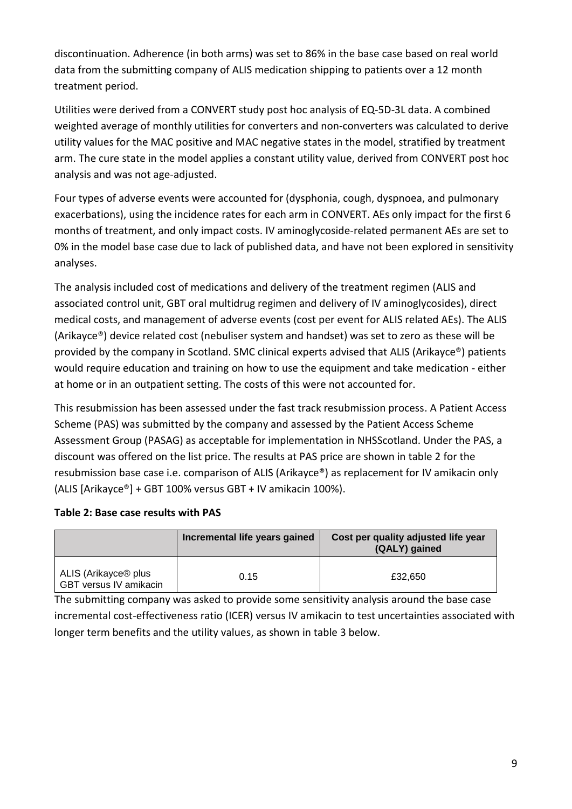discontinuation. Adherence (in both arms) was set to 86% in the base case based on real world data from the submitting company of ALIS medication shipping to patients over a 12 month treatment period.

Utilities were derived from a CONVERT study post hoc analysis of EQ-5D-3L data. A combined weighted average of monthly utilities for converters and non-converters was calculated to derive utility values for the MAC positive and MAC negative states in the model, stratified by treatment arm. The cure state in the model applies a constant utility value, derived from CONVERT post hoc analysis and was not age-adjusted.

Four types of adverse events were accounted for (dysphonia, cough, dyspnoea, and pulmonary exacerbations), using the incidence rates for each arm in CONVERT. AEs only impact for the first 6 months of treatment, and only impact costs. IV aminoglycoside-related permanent AEs are set to 0% in the model base case due to lack of published data, and have not been explored in sensitivity analyses.

The analysis included cost of medications and delivery of the treatment regimen (ALIS and associated control unit, GBT oral multidrug regimen and delivery of IV aminoglycosides), direct medical costs, and management of adverse events (cost per event for ALIS related AEs). The ALIS (Arikayce®) device related cost (nebuliser system and handset) was set to zero as these will be provided by the company in Scotland. SMC clinical experts advised that ALIS (Arikayce®) patients would require education and training on how to use the equipment and take medication - either at home or in an outpatient setting. The costs of this were not accounted for.

This resubmission has been assessed under the fast track resubmission process. A Patient Access Scheme (PAS) was submitted by the company and assessed by the Patient Access Scheme Assessment Group (PASAG) as acceptable for implementation in NHSScotland. Under the PAS, a discount was offered on the list price. The results at PAS price are shown in table 2 for the resubmission base case i.e. comparison of ALIS (Arikayce®) as replacement for IV amikacin only (ALIS [Arikayce®] + GBT 100% versus GBT + IV amikacin 100%).

#### **Table 2: Base case results with PAS**

|                                                            | Incremental life years gained | Cost per quality adjusted life year<br>(QALY) gained |
|------------------------------------------------------------|-------------------------------|------------------------------------------------------|
| ALIS (Arikayce <sup>®</sup> plus<br>GBT versus IV amikacin | 0.15                          | £32,650                                              |

The submitting company was asked to provide some sensitivity analysis around the base case incremental cost-effectiveness ratio (ICER) versus IV amikacin to test uncertainties associated with longer term benefits and the utility values, as shown in table 3 below.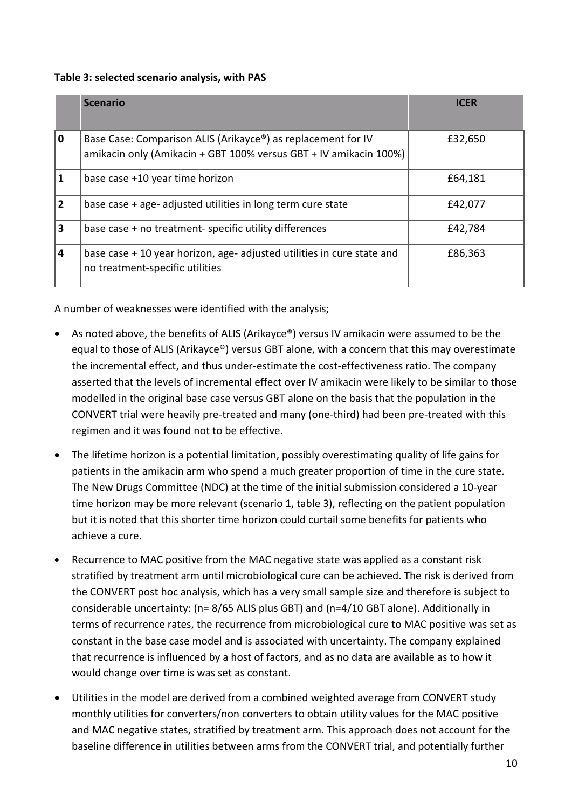#### **Table 3: selected scenario analysis, with PAS**

|                | <b>Scenario</b>                                                                                                                                | <b>ICER</b> |
|----------------|------------------------------------------------------------------------------------------------------------------------------------------------|-------------|
| $\mathbf 0$    | Base Case: Comparison ALIS (Arikayce <sup>®</sup> ) as replacement for IV<br>amikacin only (Amikacin + GBT 100% versus GBT + IV amikacin 100%) | £32,650     |
|                | base case +10 year time horizon                                                                                                                | £64,181     |
| $\overline{2}$ | base case + age- adjusted utilities in long term cure state                                                                                    | £42,077     |
| 3              | base case + no treatment-specific utility differences                                                                                          | £42,784     |
| $\overline{4}$ | base case + 10 year horizon, age- adjusted utilities in cure state and<br>no treatment-specific utilities                                      | £86,363     |

A number of weaknesses were identified with the analysis;

- As noted above, the benefits of ALIS (Arikayce®) versus IV amikacin were assumed to be the equal to those of ALIS (Arikayce®) versus GBT alone, with a concern that this may overestimate the incremental effect, and thus under-estimate the cost-effectiveness ratio. The company asserted that the levels of incremental effect over IV amikacin were likely to be similar to those modelled in the original base case versus GBT alone on the basis that the population in the CONVERT trial were heavily pre-treated and many (one-third) had been pre-treated with this regimen and it was found not to be effective.
- The lifetime horizon is a potential limitation, possibly overestimating quality of life gains for patients in the amikacin arm who spend a much greater proportion of time in the cure state. The New Drugs Committee (NDC) at the time of the initial submission considered a 10-year time horizon may be more relevant (scenario 1, table 3), reflecting on the patient population but it is noted that this shorter time horizon could curtail some benefits for patients who achieve a cure.
- Recurrence to MAC positive from the MAC negative state was applied as a constant risk stratified by treatment arm until microbiological cure can be achieved. The risk is derived from the CONVERT post hoc analysis, which has a very small sample size and therefore is subject to considerable uncertainty: (n= 8/65 ALIS plus GBT) and (n=4/10 GBT alone). Additionally in terms of recurrence rates, the recurrence from microbiological cure to MAC positive was set as constant in the base case model and is associated with uncertainty. The company explained that recurrence is influenced by a host of factors, and as no data are available as to how it would change over time is was set as constant.
- Utilities in the model are derived from a combined weighted average from CONVERT study monthly utilities for converters/non converters to obtain utility values for the MAC positive and MAC negative states, stratified by treatment arm. This approach does not account for the baseline difference in utilities between arms from the CONVERT trial, and potentially further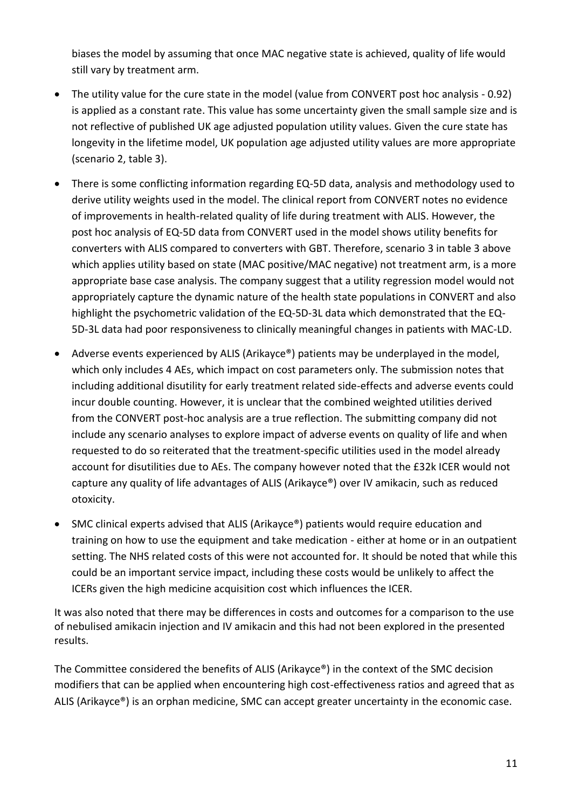biases the model by assuming that once MAC negative state is achieved, quality of life would still vary by treatment arm.

- The utility value for the cure state in the model (value from CONVERT post hoc analysis 0.92) is applied as a constant rate. This value has some uncertainty given the small sample size and is not reflective of published UK age adjusted population utility values. Given the cure state has longevity in the lifetime model, UK population age adjusted utility values are more appropriate (scenario 2, table 3).
- There is some conflicting information regarding EQ-5D data, analysis and methodology used to derive utility weights used in the model. The clinical report from CONVERT notes no evidence of improvements in health-related quality of life during treatment with ALIS. However, the post hoc analysis of EQ-5D data from CONVERT used in the model shows utility benefits for converters with ALIS compared to converters with GBT. Therefore, scenario 3 in table 3 above which applies utility based on state (MAC positive/MAC negative) not treatment arm, is a more appropriate base case analysis. The company suggest that a utility regression model would not appropriately capture the dynamic nature of the health state populations in CONVERT and also highlight the psychometric validation of the EQ-5D-3L data which demonstrated that the EQ-5D-3L data had poor responsiveness to clinically meaningful changes in patients with MAC-LD.
- Adverse events experienced by ALIS (Arikayce®) patients may be underplayed in the model, which only includes 4 AEs, which impact on cost parameters only. The submission notes that including additional disutility for early treatment related side-effects and adverse events could incur double counting. However, it is unclear that the combined weighted utilities derived from the CONVERT post-hoc analysis are a true reflection. The submitting company did not include any scenario analyses to explore impact of adverse events on quality of life and when requested to do so reiterated that the treatment-specific utilities used in the model already account for disutilities due to AEs. The company however noted that the £32k ICER would not capture any quality of life advantages of ALIS (Arikayce®) over IV amikacin, such as reduced otoxicity.
- SMC clinical experts advised that ALIS (Arikayce®) patients would require education and training on how to use the equipment and take medication - either at home or in an outpatient setting. The NHS related costs of this were not accounted for. It should be noted that while this could be an important service impact, including these costs would be unlikely to affect the ICERs given the high medicine acquisition cost which influences the ICER.

It was also noted that there may be differences in costs and outcomes for a comparison to the use of nebulised amikacin injection and IV amikacin and this had not been explored in the presented results.

The Committee considered the benefits of ALIS (Arikayce®) in the context of the SMC decision modifiers that can be applied when encountering high cost-effectiveness ratios and agreed that as ALIS (Arikayce®) is an orphan medicine, SMC can accept greater uncertainty in the economic case.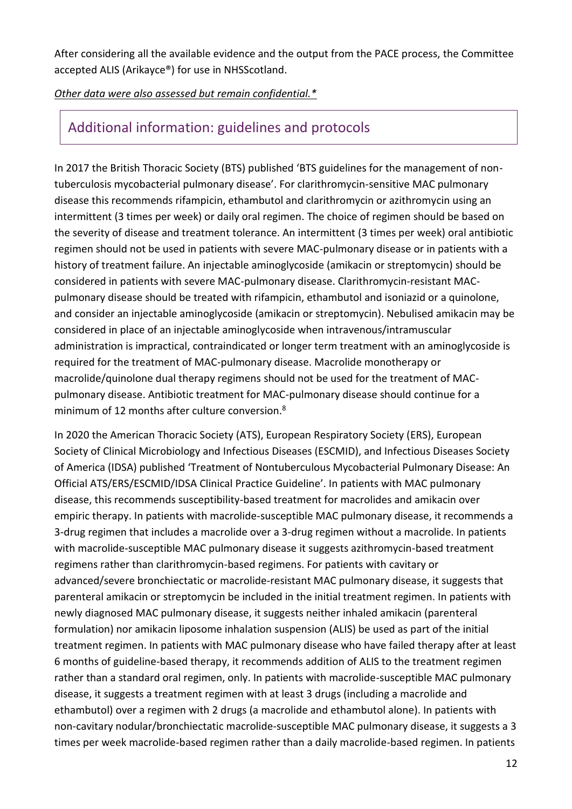After considering all the available evidence and the output from the PACE process, the Committee accepted ALIS (Arikayce®) for use in NHSScotland.

#### *Other data were also assessed but remain confidential.\**

### Additional information: guidelines and protocols

In 2017 the British Thoracic Society (BTS) published 'BTS guidelines for the management of nontuberculosis mycobacterial pulmonary disease'. For clarithromycin-sensitive MAC pulmonary disease this recommends rifampicin, ethambutol and clarithromycin or azithromycin using an intermittent (3 times per week) or daily oral regimen. The choice of regimen should be based on the severity of disease and treatment tolerance. An intermittent (3 times per week) oral antibiotic regimen should not be used in patients with severe MAC-pulmonary disease or in patients with a history of treatment failure. An injectable aminoglycoside (amikacin or streptomycin) should be considered in patients with severe MAC-pulmonary disease. Clarithromycin-resistant MACpulmonary disease should be treated with rifampicin, ethambutol and isoniazid or a quinolone, and consider an injectable aminoglycoside (amikacin or streptomycin). Nebulised amikacin may be considered in place of an injectable aminoglycoside when intravenous/intramuscular administration is impractical, contraindicated or longer term treatment with an aminoglycoside is required for the treatment of MAC-pulmonary disease. Macrolide monotherapy or macrolide/quinolone dual therapy regimens should not be used for the treatment of MACpulmonary disease. Antibiotic treatment for MAC-pulmonary disease should continue for a minimum of 12 months after culture conversion.<sup>8</sup>

In 2020 the American Thoracic Society (ATS), European Respiratory Society (ERS), European Society of Clinical Microbiology and Infectious Diseases (ESCMID), and Infectious Diseases Society of America (IDSA) published 'Treatment of Nontuberculous Mycobacterial Pulmonary Disease: An Official ATS/ERS/ESCMID/IDSA Clinical Practice Guideline'. In patients with MAC pulmonary disease, this recommends susceptibility-based treatment for macrolides and amikacin over empiric therapy. In patients with macrolide-susceptible MAC pulmonary disease, it recommends a 3-drug regimen that includes a macrolide over a 3-drug regimen without a macrolide. In patients with macrolide-susceptible MAC pulmonary disease it suggests azithromycin-based treatment regimens rather than clarithromycin-based regimens. For patients with cavitary or advanced/severe bronchiectatic or macrolide-resistant MAC pulmonary disease, it suggests that parenteral amikacin or streptomycin be included in the initial treatment regimen. In patients with newly diagnosed MAC pulmonary disease, it suggests neither inhaled amikacin (parenteral formulation) nor amikacin liposome inhalation suspension (ALIS) be used as part of the initial treatment regimen. In patients with MAC pulmonary disease who have failed therapy after at least 6 months of guideline-based therapy, it recommends addition of ALIS to the treatment regimen rather than a standard oral regimen, only. In patients with macrolide-susceptible MAC pulmonary disease, it suggests a treatment regimen with at least 3 drugs (including a macrolide and ethambutol) over a regimen with 2 drugs (a macrolide and ethambutol alone). In patients with non-cavitary nodular/bronchiectatic macrolide-susceptible MAC pulmonary disease, it suggests a 3 times per week macrolide-based regimen rather than a daily macrolide-based regimen. In patients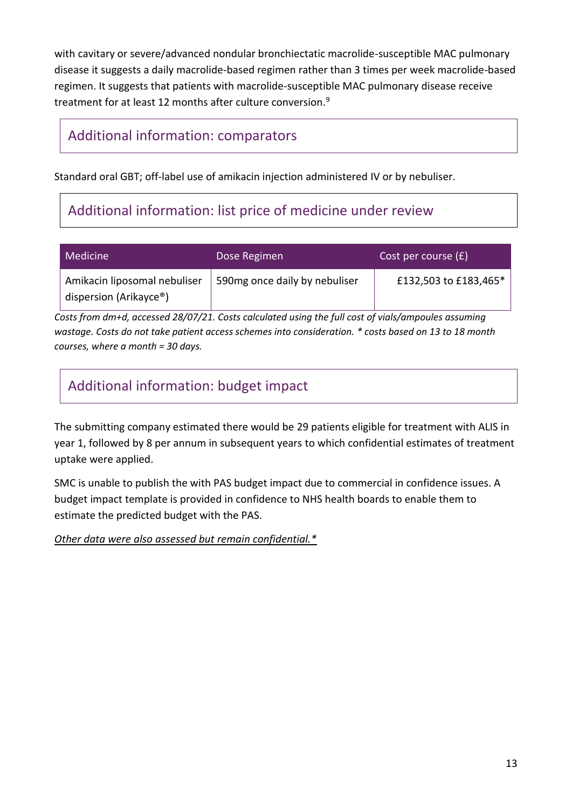with cavitary or severe/advanced nondular bronchiectatic macrolide-susceptible MAC pulmonary disease it suggests a daily macrolide-based regimen rather than 3 times per week macrolide-based regimen. It suggests that patients with macrolide-susceptible MAC pulmonary disease receive treatment for at least 12 months after culture conversion.<sup>9</sup>

### Additional information: comparators

Standard oral GBT; off-label use of amikacin injection administered IV or by nebuliser.

# Additional information: list price of medicine under review

| Medicine                                               | Dose Regimen                  | Cost per course $(f)$ |
|--------------------------------------------------------|-------------------------------|-----------------------|
| Amikacin liposomal nebuliser<br>dispersion (Arikayce®) | 590mg once daily by nebuliser | £132,503 to £183,465* |

*Costs from dm+d, accessed 28/07/21. Costs calculated using the full cost of vials/ampoules assuming wastage. Costs do not take patient access schemes into consideration. \* costs based on 13 to 18 month courses, where a month = 30 days.* 

# Additional information: budget impact

The submitting company estimated there would be 29 patients eligible for treatment with ALIS in year 1, followed by 8 per annum in subsequent years to which confidential estimates of treatment uptake were applied.

SMC is unable to publish the with PAS budget impact due to commercial in confidence issues. A budget impact template is provided in confidence to NHS health boards to enable them to estimate the predicted budget with the PAS.

*Other data were also assessed but remain confidential.\**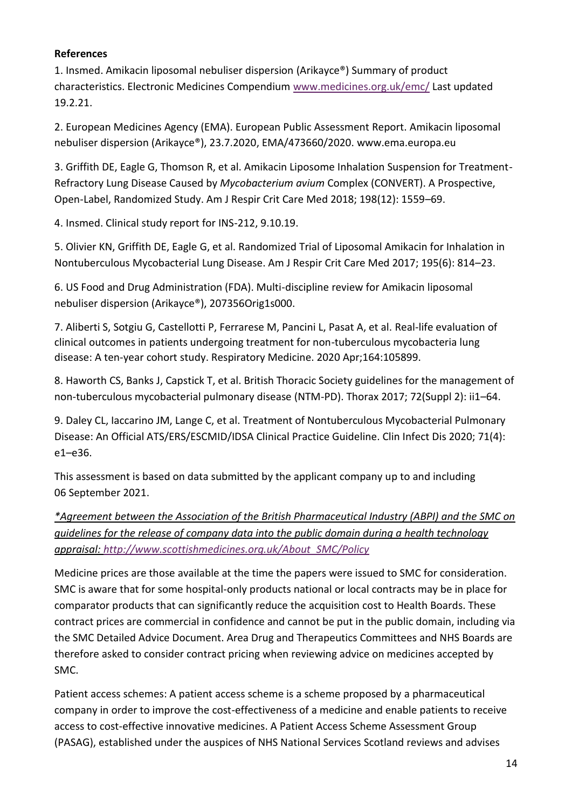#### **References**

1. Insmed. Amikacin liposomal nebuliser dispersion (Arikayce®) Summary of product characteristics. Electronic Medicines Compendium [www.medicines.org.uk/emc/](http://www.medicines.org.uk/emc/) Last updated 19.2.21.

2. European Medicines Agency (EMA). European Public Assessment Report. Amikacin liposomal nebuliser dispersion (Arikayce®), 23.7.2020, EMA/473660/2020. [www.ema.europa.eu](http://www.ema.europa.eu/)

3. Griffith DE, Eagle G, Thomson R, et al. Amikacin Liposome Inhalation Suspension for Treatment-Refractory Lung Disease Caused by *Mycobacterium avium* Complex (CONVERT). A Prospective, Open-Label, Randomized Study. Am J Respir Crit Care Med 2018; 198(12): 1559–69.

4. Insmed. Clinical study report for INS-212, 9.10.19.

5. Olivier KN, Griffith DE, Eagle G, et al. Randomized Trial of Liposomal Amikacin for Inhalation in Nontuberculous Mycobacterial Lung Disease. Am J Respir Crit Care Med 2017; 195(6): 814–23.

6. US Food and Drug Administration (FDA). Multi-discipline review for Amikacin liposomal nebuliser dispersion (Arikayce®), 207356Orig1s000.

7. Aliberti S, Sotgiu G, Castellotti P, Ferrarese M, Pancini L, Pasat A, et al. Real-life evaluation of clinical outcomes in patients undergoing treatment for non-tuberculous mycobacteria lung disease: A ten-year cohort study. Respiratory Medicine. 2020 Apr;164:105899.

8. Haworth CS, Banks J, Capstick T, et al. British Thoracic Society guidelines for the management of non-tuberculous mycobacterial pulmonary disease (NTM-PD). Thorax 2017; 72(Suppl 2): ii1–64.

9. Daley CL, Iaccarino JM, Lange C, et al. Treatment of Nontuberculous Mycobacterial Pulmonary Disease: An Official ATS/ERS/ESCMID/IDSA Clinical Practice Guideline. Clin Infect Dis 2020; 71(4): e1–e36.

This assessment is based on data submitted by the applicant company up to and including 06 September 2021.

*\*Agreement between the Association of the British Pharmaceutical Industry (ABPI) and the SMC on guidelines for the release of company data into the public domain during a health technology appraisal: [http://www.scottishmedicines.org.uk/About\\_SMC/Policy](http://www.scottishmedicines.org.uk/About_SMC/Policy)*

Medicine prices are those available at the time the papers were issued to SMC for consideration. SMC is aware that for some hospital-only products national or local contracts may be in place for comparator products that can significantly reduce the acquisition cost to Health Boards. These contract prices are commercial in confidence and cannot be put in the public domain, including via the SMC Detailed Advice Document. Area Drug and Therapeutics Committees and NHS Boards are therefore asked to consider contract pricing when reviewing advice on medicines accepted by SMC.

Patient access schemes: A patient access scheme is a scheme proposed by a pharmaceutical company in order to improve the cost-effectiveness of a medicine and enable patients to receive access to cost-effective innovative medicines. A Patient Access Scheme Assessment Group (PASAG), established under the auspices of NHS National Services Scotland reviews and advises